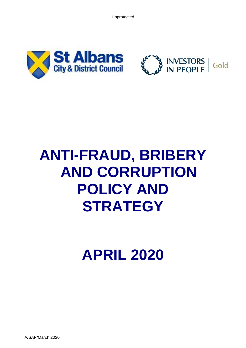Unprotected





# **ANTI-FRAUD, BRIBERY AND CORRUPTION POLICY AND STRATEGY**

**APRIL 2020**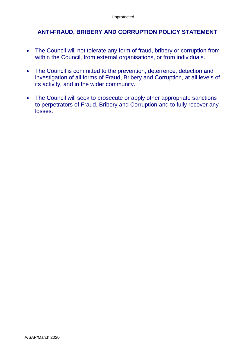# **ANTI-FRAUD, BRIBERY AND CORRUPTION POLICY STATEMENT**

- The Council will not tolerate any form of fraud, bribery or corruption from within the Council, from external organisations, or from individuals.
- The Council is committed to the prevention, deterrence, detection and investigation of all forms of Fraud, Bribery and Corruption, at all levels of its activity, and in the wider community.
- The Council will seek to prosecute or apply other appropriate sanctions to perpetrators of Fraud, Bribery and Corruption and to fully recover any losses.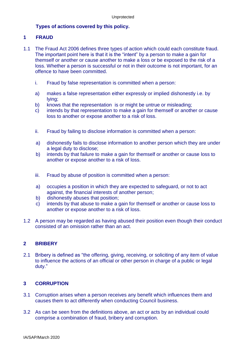## **Types of actions covered by this policy.**

#### **1 FRAUD**

- 1.1 The Fraud Act 2006 defines three types of action which could each constitute fraud. The important point here is that it is the "intent" by a person to make a gain for themself or another or cause another to make a loss or be exposed to the risk of a loss. Whether a person is successful or not in their outcome is not important, for an offence to have been committed.
	- i. Fraud by false representation is committed when a person:
	- a) makes a false representation either expressly or implied dishonestly i.e. by lying;
	- b) knows that the representation is or might be untrue or misleading;
	- c) intends by that representation to make a gain for themself or another or cause loss to another or expose another to a risk of loss.
	- ii. Fraud by failing to disclose information is committed when a person:
	- a) dishonestly fails to disclose information to another person which they are under a legal duty to disclose:
	- b) intends by that failure to make a gain for themself or another or cause loss to another or expose another to a risk of loss.
	- iii. Fraud by abuse of position is committed when a person:
	- a) occupies a position in which they are expected to safeguard, or not to act against, the financial interests of another person;
	- b) dishonestly abuses that position;
	- c) intends by that abuse to make a gain for themself or another or cause loss to another or expose another to a risk of loss.
- 1.2 A person may be regarded as having abused their position even though their conduct consisted of an omission rather than an act.

## **2 BRIBERY**

2.1 Bribery is defined as "the offering, giving, receiving, or soliciting of any item of value to influence the actions of an official or other person in charge of a public or legal duty."

## **3 CORRUPTION**

- 3.1 Corruption arises when a person receives any benefit which influences them and causes them to act differently when conducting Council business.
- 3.2 As can be seen from the definitions above, an act or acts by an individual could comprise a combination of fraud, bribery and corruption.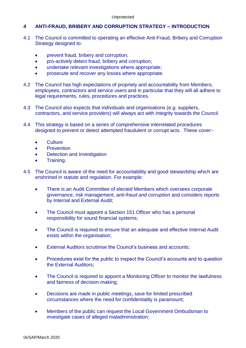## **4 ANTI-FRAUD, BRIBERY AND CORRUPTION STRATEGY – INTRODUCTION**

- 4.1 The Council is committed to operating an effective Anti-Fraud, Bribery and Corruption Strategy designed to:
	- prevent fraud, bribery and corruption;
	- pro-actively detect fraud, bribery and corruption;
	- undertake relevant investigations where appropriate;
	- prosecute and recover any losses where appropriate.
- 4.2 The Council has high expectations of propriety and accountability from Members, employees, contractors and service users and in particular that they will all adhere to legal requirements, rules, procedures and practices.
- 4.3 The Council also expects that individuals and organisations (e.g. suppliers, contractors, and service providers) will always act with integrity towards the Council.
- 4.4 This strategy is based on a series of comprehensive interrelated procedures designed to prevent or detect attempted fraudulent or corrupt acts. These cover:-
	- Culture
	- Prevention
	- Detection and Investigation
	- Training.
- 4.5 The Council is aware of the need for accountability and good stewardship which are enshrined in statute and regulation. For example:
	- There is an Audit Committee of elected Members which oversees corporate governance, risk management, *anti-fraud and corruption* and considers reports by Internal and External Audit;
	- The Council must appoint a Section 151 Officer who has a personal responsibility for sound financial systems;
	- The Council is required to ensure that an adequate and effective Internal Audit exists within the organisation;
	- **External Auditors scrutinise the Council's business and accounts:**
	- Procedures exist for the public to inspect the Council's accounts and to question the External Auditors;
	- The Council is required to appoint a Monitoring Officer to monitor the lawfulness and fairness of decision-making;
	- Decisions are made in public meetings, save for limited prescribed circumstances where the need for confidentiality is paramount;
	- Members of the public can request the Local Government Ombudsman to investigate cases of alleged maladministration;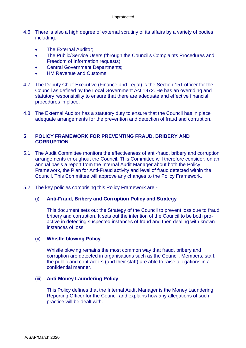- 4.6 There is also a high degree of external scrutiny of its affairs by a variety of bodies including:-
	- The External Auditor:
	- The Public/Service Users (through the Council's Complaints Procedures and Freedom of Information requests);
	- Central Government Departments;
	- HM Revenue and Customs.
- 4.7 The Deputy Chief Executive (Finance and Legal) is the Section 151 officer for the Council as defined by the Local Government Act 1972. He has an overriding and statutory responsibility to ensure that there are adequate and effective financial procedures in place.
- 4.8 The External Auditor has a statutory duty to ensure that the Council has in place adequate arrangements for the prevention and detection of fraud and corruption.

## **5 POLICY FRAMEWORK FOR PREVENTING FRAUD, BRIBERY AND CORRUPTION**

- 5.1 The Audit Committee monitors the effectiveness of anti-fraud, bribery and corruption arrangements throughout the Council. This Committee will therefore consider, on an annual basis a report from the Internal Audit Manager about both the Policy Framework, the Plan for Anti-Fraud activity and level of fraud detected within the Council. This Committee will approve any changes to the Policy Framework.
- 5.2 The key policies comprising this Policy Framework are:-

#### (i) **Anti-Fraud, Bribery and Corruption Policy and Strategy**

This document sets out the Strategy of the Council to prevent loss due to fraud, bribery and corruption. It sets out the intention of the Council to be both proactive in detecting suspected instances of fraud and then dealing with known instances of loss.

#### (ii) **Whistle blowing Policy**

Whistle blowing remains the most common way that fraud, bribery and corruption are detected in organisations such as the Council. Members, staff, the public and contractors (and their staff) are able to raise allegations in a confidential manner.

#### (iii) **Anti***-***Money Laundering Policy**

This Policy defines that the Internal Audit Manager is the Money Laundering Reporting Officer for the Council and explains how any allegations of such practice will be dealt with.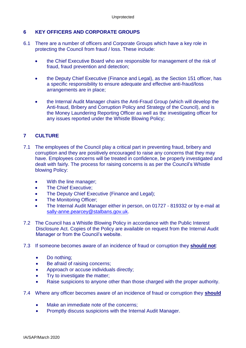## **6 KEY OFFICERS AND CORPORATE GROUPS**

- 6.1 There are a number of officers and Corporate Groups which have a key role in protecting the Council from fraud / loss. These include:
	- the Chief Executive Board who are responsible for management of the risk of fraud, fraud prevention and detection;
	- the Deputy Chief Executive (Finance and Legal), as the Section 151 officer, has a specific responsibility to ensure adequate and effective anti-fraud/loss arrangements are in place;
	- the Internal Audit Manager chairs the Anti-Fraud Group (which will develop the Anti-fraud, Bribery and Corruption Policy and Strategy of the Council), and is the Money Laundering Reporting Officer as well as the investigating officer for any issues reported under the Whistle Blowing Policy;

## **7 CULTURE**

- 7.1 The employees of the Council play a critical part in preventing fraud, bribery and corruption and they are positively encouraged to raise any concerns that they may have. Employees concerns will be treated in confidence, be properly investigated and dealt with fairly. The process for raising concerns is as per the Council's Whistle blowing Policy:
	- With the line manager;
	- The Chief Executive:
	- The Deputy Chief Executive (Finance and Legal);
	- The Monitoring Officer;
	- The Internal Audit Manager either in person, on 01727 819332 or by e-mail at [sally-anne.pearcey@stalbans.gov.uk.](mailto:sally-anne.pearcey@stalbans.gov.uk)
- 7.2 The Council has a Whistle Blowing Policy in accordance with the Public Interest Disclosure Act. Copies of the Policy are available on request from the Internal Audit Manager or from the Council's website.
- 7.3 If someone becomes aware of an incidence of fraud or corruption they **should not**:
	- Do nothing;
	- Be afraid of raising concerns;
	- Approach or accuse individuals directly;
	- Try to investigate the matter:
	- Raise suspicions to anyone other than those charged with the proper authority.
- 7.4 Where any officer becomes aware of an incidence of fraud or corruption they **should**
	- Make an immediate note of the concerns:
	- Promptly discuss suspicions with the Internal Audit Manager.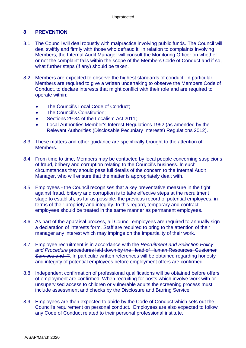## **8 PREVENTION**

- 8.1 The Council will deal robustly with malpractice involving public funds. The Council will deal swiftly and firmly with those who defraud it. In relation to complaints involving Members, the Internal Audit Manager will consult the Monitoring Officer on whether or not the complaint falls within the scope of the Members Code of Conduct and if so, what further steps (if any) should be taken.
- 8.2 Members are expected to observe the highest standards of conduct. In particular, Members are required to give a written undertaking to observe the Members Code of Conduct, to declare interests that might conflict with their role and are required to operate within:
	- The Council's Local Code of Conduct:
	- The Council's Constitution:
	- Sections 29-34 of the Localism Act 2011;
	- Local Authorities Member's Interest Regulations 1992 (as amended by the Relevant Authorities (Disclosable Pecuniary Interests) Regulations 2012).
- 8.3 These matters and other guidance are specifically brought to the attention of Members.
- 8.4 From time to time, Members may be contacted by local people concerning suspicions of fraud, bribery and corruption relating to the Council's business. In such circumstances they should pass full details of the concern to the Internal Audit Manager, who will ensure that the matter is appropriately dealt with.
- 8.5 Employees the Council recognises that a key preventative measure in the fight against fraud, bribery and corruption is to take effective steps at the recruitment stage to establish, as far as possible, the previous record of potential employees, in terms of their propriety and integrity. In this regard, temporary and contract employees should be treated in the same manner as permanent employees.
- 8.6 As part of the appraisal process, all Council employees are required to annually sign a declaration of interests form. Staff are required to bring to the attention of their manager any interest which may impinge on the impartiality of their work.
- 8.7 Employee recruitment is in accordance with the *Recruitment and Selection Policy and Procedure* procedures laid down by the Head of Human Resources, Customer Services and IT. In particular written references will be obtained regarding honesty and integrity of potential employees before employment offers are confirmed.
- 8.8 Independent confirmation of professional qualifications will be obtained before offers of employment are confirmed. When recruiting for posts which involve work with or unsupervised access to children or vulnerable adults the screening process must include assessment and checks by the Disclosure and Barring Service.
- 8.9 Employees are then expected to abide by the Code of Conduct which sets out the Council's requirement on personal conduct. Employees are also expected to follow any Code of Conduct related to their personal professional institute.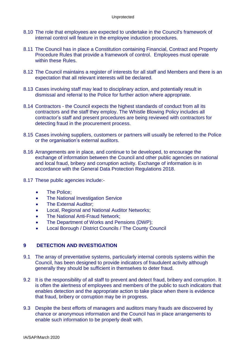- 8.10 The role that employees are expected to undertake in the Council's framework of internal control will feature in the employee induction procedures.
- 8.11 The Council has in place a Constitution containing Financial, Contract and Property Procedure Rules that provide a framework of control. Employees must operate within these Rules.
- 8.12 The Council maintains a register of interests for all staff and Members and there is an expectation that all relevant interests will be declared.
- 8.13 Cases involving staff may lead to disciplinary action, and potentially result in dismissal and referral to the Police for further action where appropriate.
- 8.14 Contractors the Council expects the highest standards of conduct from all its contractors and the staff they employ. The Whistle Blowing Policy includes all contractor's staff and present procedures are being reviewed with contractors for detecting fraud in the procurement process.
- 8.15 Cases involving suppliers, customers or partners will usually be referred to the Police or the organisation's external auditors.
- 8.16 Arrangements are in place, and continue to be developed, to encourage the exchange of information between the Council and other public agencies on national and local fraud, bribery and corruption activity. Exchange of information is in accordance with the General Data Protection Regulations 2018.
- 8.17 These public agencies include:-
	- The Police;
	- The National Investigation Service
	- The External Auditor;
	- Local, Regional and National Auditor Networks;
	- The National Anti-Fraud Network;
	- The Department of Works and Pensions (DWP);
	- Local Borough / District Councils / The County Council

#### **9 DETECTION AND INVESTIGATION**

- 9.1 The array of preventative systems, particularly internal controls systems within the Council, has been designed to provide indicators of fraudulent activity although generally they should be sufficient in themselves to deter fraud.
- 9.2 It is the responsibility of all staff to prevent and detect fraud, bribery and corruption. It is often the alertness of employees and members of the public to such indicators that enables detection and the appropriate action to take place when there is evidence that fraud, bribery or corruption may be in progress.
- 9.3 Despite the best efforts of managers and auditors many frauds are discovered by chance or anonymous information and the Council has in place arrangements to enable such information to be properly dealt with.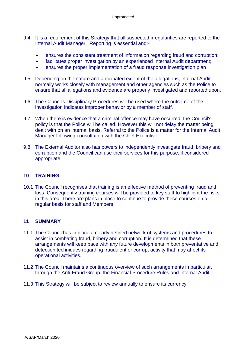- 9.4 It is a requirement of this Strategy that all suspected irregularities are reported to the Internal Audit Manager. Reporting is essential and:-
	- ensures the consistent treatment of information regarding fraud and corruption;
	- facilitates proper investigation by an experienced Internal Audit department:
	- ensures the proper implementation of a fraud response investigation plan.
- 9.5 Depending on the nature and anticipated extent of the allegations, Internal Audit normally works closely with management and other agencies such as the Police to ensure that all allegations and evidence are properly investigated and reported upon.
- 9.6 The Council's Disciplinary Procedures will be used where the outcome of the investigation indicates improper behavior by a member of staff.
- 9.7 When there is evidence that a criminal offence may have occurred, the Council's policy is that the Police will be called. However this will not delay the matter being dealt with on an internal basis. Referral to the Police is a matter for the Internal Audit Manager following consultation with the Chief Executive.
- 9.8 The External Auditor also has powers to independently investigate fraud, bribery and corruption and the Council can use their services for this purpose, if considered appropriate.

#### **10 TRAINING**

10.1 The Council recognises that training is an effective method of preventing fraud and loss. Consequently training courses will be provided to key staff to highlight the risks in this area. There are plans in place to continue to provide these courses on a regular basis for staff and Members.

#### **11 SUMMARY**

- 11.1 The Council has in place a clearly defined network of systems and procedures to assist in combating fraud, bribery and corruption. It is determined that these arrangements will keep pace with any future developments in both preventative and detection techniques regarding fraudulent or corrupt activity that may affect its operational activities.
- 11.2 The Council maintains a continuous overview of such arrangements in particular, through the Anti-Fraud Group, the Financial Procedure Rules and Internal Audit.
- 11.3 This Strategy will be subject to review annually to ensure its currency.